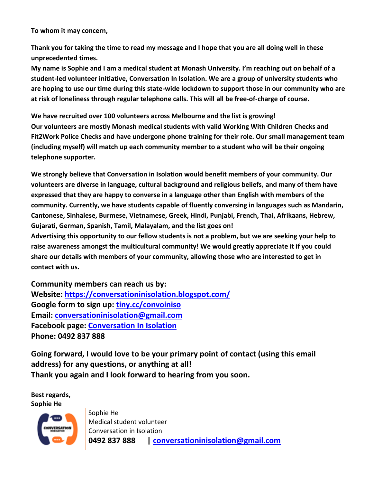**To whom it may concern,**

**Thank you for taking the time to read my message and I hope that you are all doing well in these unprecedented times.**

**My name is Sophie and I am a medical student at Monash University. I'm reaching out on behalf of a student-led volunteer initiative, Conversation In Isolation. We are a group of university students who are hoping to use our time during this state-wide lockdown to support those in our community who are at risk of loneliness through regular telephone calls. This will all be free-of-charge of course.**

**We have recruited over 100 volunteers across Melbourne and the list is growing! Our volunteers are mostly Monash medical students with valid Working With Children Checks and Fit2Work Police Checks and have undergone phone training for their role. Our small management team (including myself) will match up each community member to a student who will be their ongoing telephone supporter.**

**We strongly believe that Conversation in Isolation would benefit members of your community. Our volunteers are diverse in language, cultural background and religious beliefs, and many of them have expressed that they are happy to converse in a language other than English with members of the community. Currently, we have students capable of fluently conversing in languages such as Mandarin, Cantonese, Sinhalese, Burmese, Vietnamese, Greek, Hindi, Punjabi, French, Thai, Afrikaans, Hebrew, Gujarati, German, Spanish, Tamil, Malayalam, and the list goes on!**

**Advertising this opportunity to our fellow students is not a problem, but we are seeking your help to raise awareness amongst the multicultural community! We would greatly appreciate it if you could share our details with members of your community, allowing those who are interested to get in contact with us.**

**Community members can reach us by: Website: <https://conversationinisolation.blogspot.com/> Google form to sign up: [tiny.cc/convoiniso](http://tiny.cc/convoiniso) Email: [conversationinisolation@gmail.com](mailto:conversationinisolation@gmail.com) Facebook page: [Conversation In Isolation](https://www.facebook.com/convoiniso/) Phone: 0492 837 888**

**Going forward, I would love to be your primary point of contact (using this email address) for any questions, or anything at all! Thank you again and I look forward to hearing from you soon.**

**Best regards, Sophie He**



Sophie He Medical student volunteer Conversation in Isolation **0492 837 888 | [conversationinisolation@gmail.com](mailto:Conversationinisolation@gmail.com)**